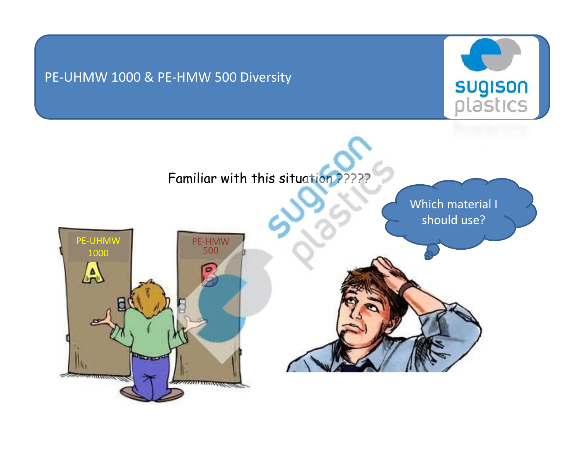## PE‐UHMW 1000 & PE‐HMW 500 Diversity



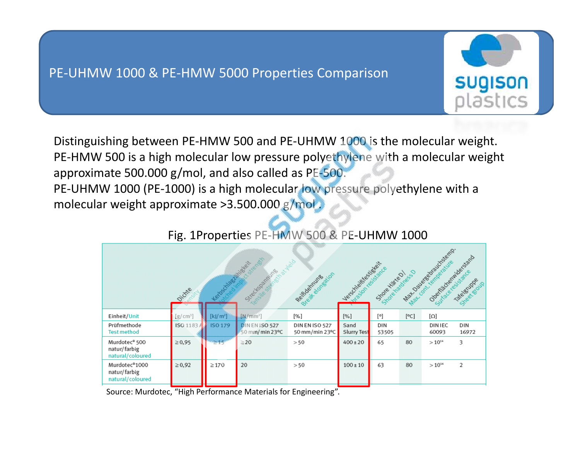## PE‐UHMW 1000 & PE‐HMW 5000 Properties Comparison



Distinguishing between PE‐HMW 500 and PE‐UHMW 1000 is the molecular weight. PE-HMW 500 is a high molecular low pressure polyethylene with a molecular weight approximate 500.000 g/mol, and also called as PE‐500. PE-UHMW 1000 (PE-1000) is a high molecular low pressure polyethylene with a molecular weight approximate >3.500.000 g/mol .

| Mat Davere drauchsemp.<br>Osematical Michaelsand<br>Strengen<br>inera<br>Lexistrativesing<br>Mat contrampetative<br>Vecchicated School<br>Steel of Banking<br>Suracevesistance<br>Steak dongstion<br>Store Histed!<br>Shoehadress<br>Reisbarrung<br>Takelatuppe<br>Sheet group<br>Oichie<br>$\overline{\phantom{a}}$ |            |            |                                       |                                  |                     |              |      |                        |              |
|----------------------------------------------------------------------------------------------------------------------------------------------------------------------------------------------------------------------------------------------------------------------------------------------------------------------|------------|------------|---------------------------------------|----------------------------------|---------------------|--------------|------|------------------------|--------------|
| Einheit/Unit                                                                                                                                                                                                                                                                                                         | $[g/cm^3]$ | $[k]/m^2$  | $[N/mm^2]$                            | [%]                              | [%]                 | [°]          | [°C] | [Ω]                    |              |
| Prüfmethode<br><b>Test method</b>                                                                                                                                                                                                                                                                                    | ISO 1183   | ISO 179    | <b>DINENISO 527</b><br>50 mm/min 23°C | DIN EN ISO 527<br>50 mm/min 23°C | Sand<br>Slurry Test | DIN<br>53505 |      | <b>DINIEC</b><br>60093 | DIN<br>16972 |
| Murdotec <sup>®</sup> 500<br>natur/farbig<br>natural/coloured                                                                                                                                                                                                                                                        | $\ge 0.95$ | $\geq 45$  | $\geq$ 20                             | > 50                             | $400 \pm 20$        | 65           | 80   | $>10^{14}$             | 3            |
| Murdotec <sup>®</sup> 1000<br>natur/farbig<br>natural/coloured                                                                                                                                                                                                                                                       | $\ge 0.92$ | $\geq$ 170 | 20                                    | > 50                             | $100 \pm 10$        | 63           | 80   | $>10^{14}$             | 2            |

## Fig. 1Properties PE‐HMW 500 & PE‐UHMW 1000

Source: Murdotec, "High Performance Materials for Engineering".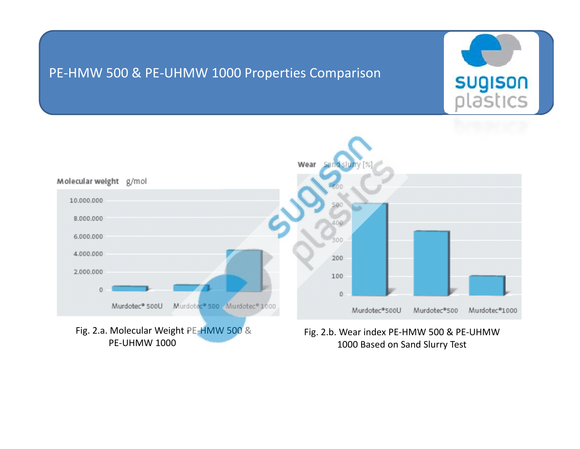## PE‐HMW 500 & PE‐UHMW 1000 Properties Comparison



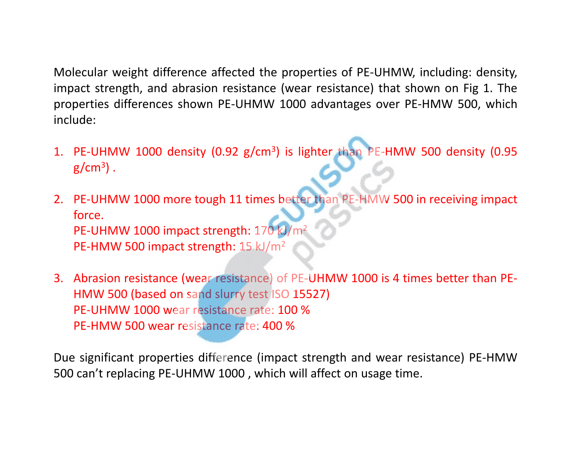Molecular weight difference affected the properties of PE‐UHMW, including: density, impact strength, and abrasion resistance (wear resistance) that shown on Fig 1. The properties differences shown PE‐UHMW 1000 advantages over PE‐HMW 500, which include:

- 1. PE-UHMW 1000 density (0.92 g/cm<sup>3</sup>) is lighter than PE-HMW 500 density (0.95  $\rm g/cm^3)$  .
- 2. PE‐UHMW 1000 more tough 11 times better than PE‐HMW 500 in receiving impact force.<code>PE-UHMW</code> 1000 impact strength: 170 kJ/m<sup>2</sup> <code>PE-HMW</code> 500 impact strength: 15 kJ/m<sup>2</sup>
- 3. Abrasion resistance (wear resistance) of PE‐UHMW 1000 is 4 times better than PE‐ HMW 500 (based on sand slurry test ISO 15527) PE‐UHMW 1000 wear resistance rate: 100 %PE‐HMW 500 wear resistance rate: 400 %

Due significant properties difference (impact strength and wear resistance) PE‐HMW 500 can't replacing PE-UHMW 1000, which will affect on usage time.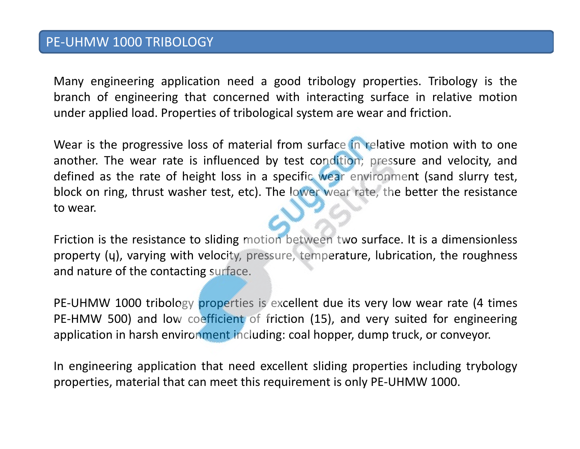Many engineering application need <sup>a</sup> good tribology properties. Tribology is the branch of engineering that concerned with interacting surface in relative motion under applied load. Properties of tribological system are wear and friction.

Wear is the progressive loss of material from surface in relative motion with to one another. The wear rate is influenced by test condition; pressure and velocity, and defined as the rate of height loss in a specific wear environment (sand slurry test, block on ring, thrust washer test, etc). The lower wear rate, the better the resistance to wear.

Friction is the resistance to sliding motion between two surface. It is <sup>a</sup> dimensionless property ( ɥ), varying with velocity, pressure, temperature, lubrication, the roughness and nature of the contacting surface.

PE-UHMW 1000 tribology properties is excellent due its very low wear rate (4 times PE-HMW 500) and low coefficient of friction (15), and very suited for engineering application in harsh environment including: coal hopper, dump truck, or conveyor.

In engineering application that need excellent sliding properties including trybology properties, material that can meet this requirement is only PE‐UHMW 1000.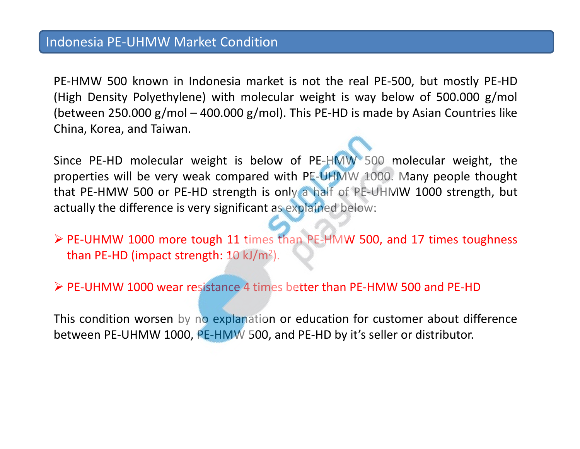PE‐HMW 500 known in Indonesia market is not the real PE‐500, but mostly PE‐HD (High Density Polyethylene) with molecular weight is way below of 500.000 g/mol (between 250.000 g/mol – 400.000 g/mol). This PE-HD is made by Asian Countries like China, Korea, and Taiwan.

Since PE-HD molecular weight is below of PE-HMW 500 molecular weight, the properties will be very weak compared with PE‐UHMW 1000. Many people thought that PE‐HMW 500 or PE‐HD strength is only <sup>a</sup> half of PE‐UHMW 1000 strength, but actually the difference is very significant as explained below:

- ¾ PE‐UHMW 1000 more tough 11 times than PE‐HMW 500, and 17 times toughness than PE-HD (impact strength:  $10 \text{ kJ/m}^2$ ).
- ¾ PE‐UHMW 1000 wear resistance 4 times better than PE‐HMW 500 and PE‐HD

This condition worsen by no explanation or education for customer about difference between PE-UHMW 1000, PE-HMW 500, and PE-HD by it's seller or distributor.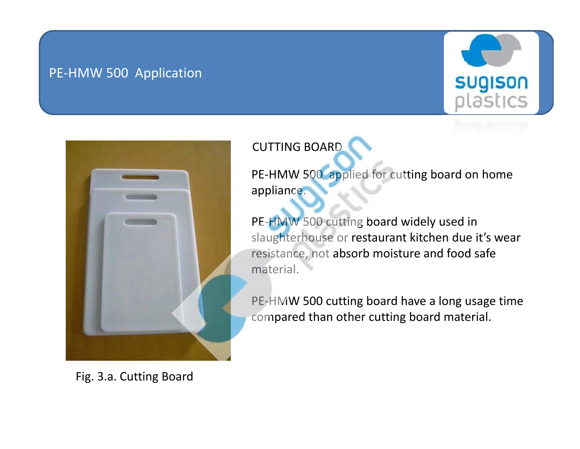## PE‐HMW 500 Application





CUTTING BOARD

PE-HMW 500 applied for cutting board on home appliance.

PE-HMW 500 cutting board widely used in slaughterhouse or restaurant kitchen due it's wear resistance, not absorb moisture and food safe material.

PE‐HMW 500 cutting board have <sup>a</sup> long usage time compared than other cutting board material.

Fig. 3.a. Cutting Board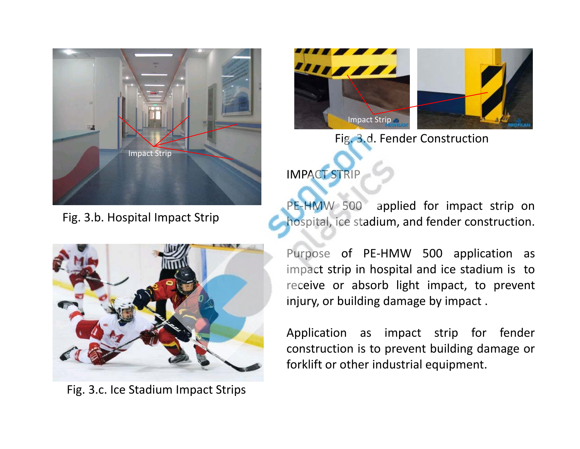

Fig. 3.b. Hospital Impact Strip



Fig. 3.d. Fender Construction

IMPACT STRIP

PE-HMW 500 applied for impact strip on hospital, ice stadium, and fender construction.



Fig. 3.c. Ice Stadium Impact Strips

Purpose of PE‐HMW 500 application as impact strip in hospital and ice stadium is to receive or absorb light impact, to prevent injury, or building damage by impact .

Application as impact strip for fender construction is to prevent building damage or forklift or other industrial equipment.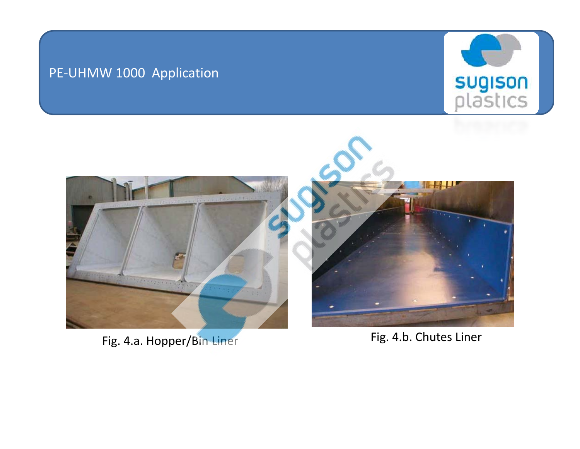## PE‐UHMW 1000 Application





Fig. 4.a. Hopper/Bin Liner

Fig. 4.b. Chutes Liner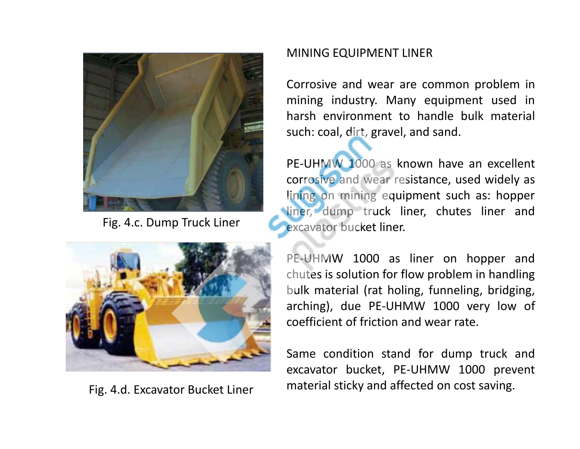

Fig. 4.c. Dump Truck Liner



Fig. 4.d. Excavator Bucket Liner

#### MINING EQUIPMENT LINER

Corrosive and wear are common problem in mining industry. Many equipment used in harsh environment to handle bulk materialsuch: coal, dirt, gravel, and sand.

PE-UHMW 1000 as known have an excellent corrosive and wear resistance, used widely as lining on mining equipment such as: hopper liner, dump truck liner, chutes liner and excavator bucket liner.

PE‐UHMW 1000 as liner on hopper and chutes is solution for flow problem in handling bulk material (rat holing, funneling, bridging, arching), due PE‐UHMW 1000 very low of coefficient of friction and wear rate.

Same condition stand for dump truck and excavator bucket, PE‐UHMW 1000 prevent material sticky and affected on cost saving.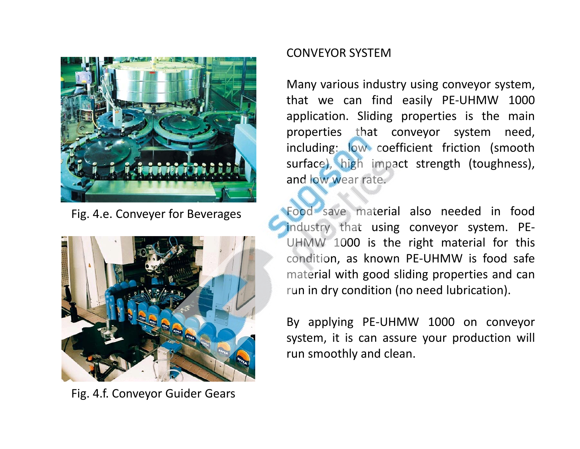

Fig. 4.e. Conveyer for Beverages



Fig. 4.f. Conveyor Guider Gears

#### CONVEYOR SYSTEM

Many various industry using conveyor system, that we can find easily PE‐UHMW 1000 application. Sliding properties is the main properties that conveyor system need, including: low coefficient friction (smooth surface), high impact strength (toughness), and low wear rate.

Food save material also needed in food industry that using conveyor system. PE‐ UHMW 1000 is the right material for this condition, as known PE‐UHMW is food safe material with good sliding properties and can run in dry condition (no need lubrication).

By applying PE‐UHMW 1000 on conveyor system, it is can assure your production will run smoothly and clean.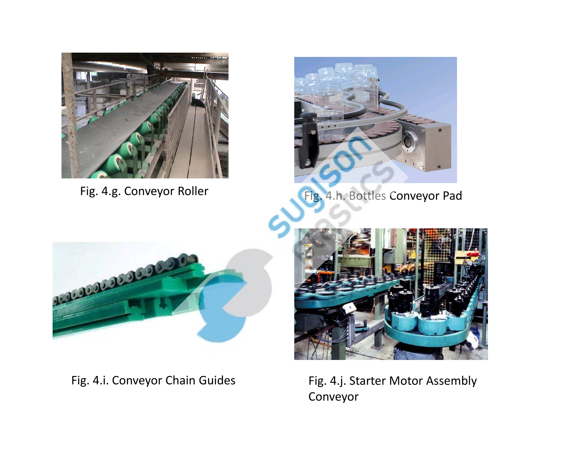



Fig. 4.g. Conveyor Roller Fig. 4.h. Bottles Conveyor Pad



Fig. 4.i. Conveyor Chain Guides Fig. 4.j. Starter Motor Assembly



Conveyor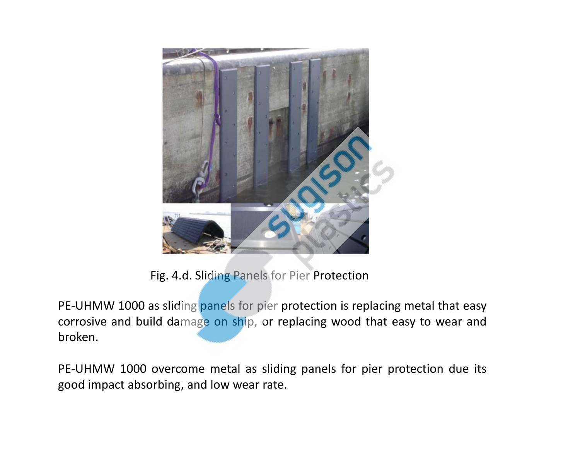

Fig. 4.d. Sliding Panels for Pier Protection

PE-UHMW 1000 as sliding panels for pier protection is replacing metal that easy corrosive and build damage on ship, or replacing wood that easy to wear and broken.

PE-UHMW 1000 overcome metal as sliding panels for pier protection due its good impact absorbing, and low wear rate.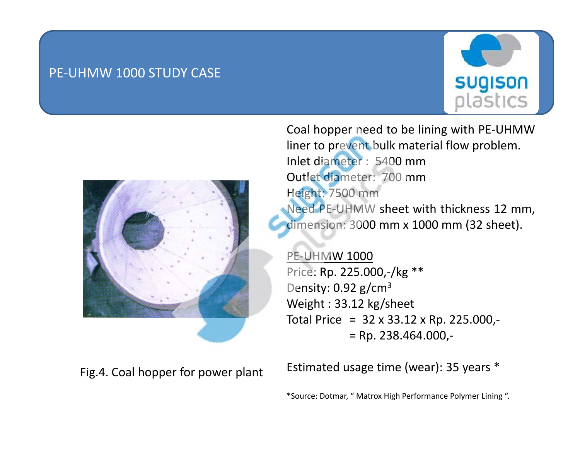## PE‐UHMW 1000 STUDY CASE





Fig.4. Coal hopper for power plant

Coal hopper need to be lining with PE‐UHMW liner to prevent bulk material flow problem. Inlet diameter : 5400 mmOutlet diameter: 700 mm Height: 7500 mm Need PE‐UHMW sheet with thickness 12 mm, dimension: 3000 mm <sup>x</sup> 1000 mm (32 sheet).

PE‐UHMW 1000 Price: Rp. 225.000,‐/kg \*\* Density:  $0.92$  g/cm<sup>3</sup> Weight : 33.12 kg/sheet Total Price <sup>=</sup> 32 <sup>x</sup> 33.12 <sup>x</sup> Rp. 225.000,‐ = Rp. 238.464.000,‐

Estimated usage time (wear): 35 years \*

\*Source: Dotmar, " Matrox High Performance Polymer Lining ".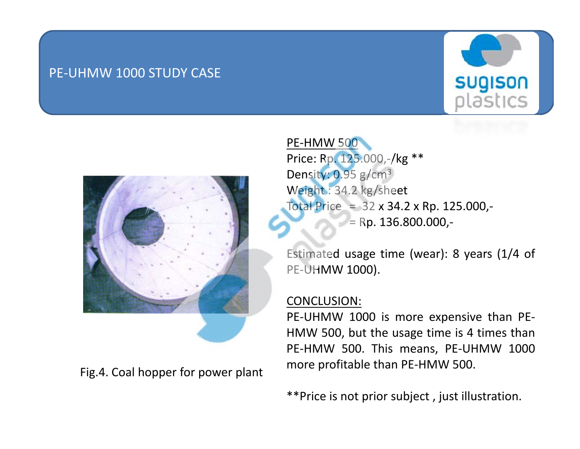## PE‐UHMW 1000 STUDY CASE





Fig.4. Coal hopper for power plant

PE‐HMW 500Price: Rp. 125.000,‐/kg \*\* Density: 0.95 g/cm<sup>3</sup> Weight : 34.2 kg/sheet Total Price =  $32 \times 34.2 \times$  Rp. 125.000,-= Rp. 136.800.000,‐

Estimated usage time (wear): 8 years (1/4 of PE‐UHMW 1000).

#### CONCLUSION:

PE‐UHMW 1000 is more expensive than PE‐ HMW 500, but the usage time is 4 times than PE‐HMW 500. This means, PE‐UHMW 1000 more profitable than PE‐HMW 500.

\*\*Price is not prior subject , just illustration.